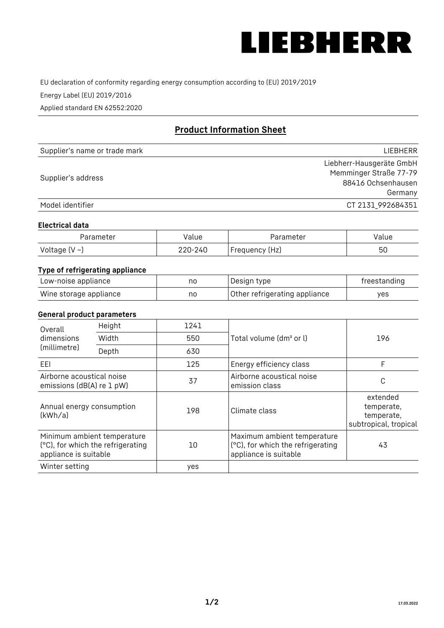

EU declaration of conformity regarding energy consumption according to (EU) 2019/2019

Energy Label (EU) 2019/2016

Applied standard EN 62552:2020

# **Product Information Sheet**

| Supplier's name or trade mark | <b>LIFBHFRR</b>          |
|-------------------------------|--------------------------|
|                               | Liebherr-Hausgeräte GmbH |
|                               | Memminger Straße 77-79   |
| Supplier's address            | 88416 Ochsenhausen       |
|                               | Germany                  |
| Model identifier              | CT 2131 992684351        |

#### **Electrical data**

| Parameter           | Value   | Parameter      | Value |
|---------------------|---------|----------------|-------|
| Voltage (V $\sim$ ) | 220-240 | Frequency (Hz) | 50    |

## **Type of refrigerating appliance**

| Low-noise appliance    | nc | Design type                   | freestanding |
|------------------------|----|-------------------------------|--------------|
| Wine storage appliance | nc | Other refrigerating appliance | ves          |

## **General product parameters**

| Height<br>Overall                                      |                                                                  | 1241 |                                                                                           |                                                               |
|--------------------------------------------------------|------------------------------------------------------------------|------|-------------------------------------------------------------------------------------------|---------------------------------------------------------------|
| dimensions<br>(millimetre)                             | Width                                                            | 550  | Total volume (dm <sup>3</sup> or l)                                                       | 196                                                           |
|                                                        | Depth                                                            | 630  |                                                                                           |                                                               |
| EEL                                                    |                                                                  | 125  | Energy efficiency class                                                                   | F                                                             |
| Airborne acoustical noise<br>emissions (dB(A) re 1 pW) |                                                                  | 37   | Airborne acoustical noise<br>emission class                                               | С                                                             |
| Annual energy consumption<br>(kWh/a)                   |                                                                  | 198  | Climate class                                                                             | extended<br>temperate,<br>temperate,<br>subtropical, tropical |
| appliance is suitable                                  | Minimum ambient temperature<br>(°C), for which the refrigerating | 10   | Maximum ambient temperature<br>(°C), for which the refrigerating<br>appliance is suitable | 43                                                            |
| Winter setting                                         |                                                                  | yes  |                                                                                           |                                                               |